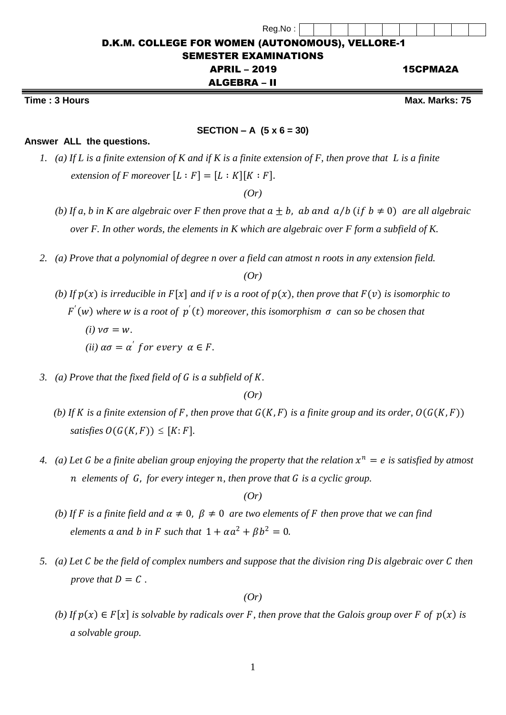| Reg.No:                                                 |          |
|---------------------------------------------------------|----------|
| <b>D.K.M. COLLEGE FOR WOMEN (AUTONOMOUS), VELLORE-1</b> |          |
| <b>SEMESTER EXAMINATIONS</b>                            |          |
| <b>APRIL - 2019</b>                                     | 15CPMA2A |
| ALGEBRA – II                                            |          |

## **Time : 3 Hours Max.** Marks: 75

## **SECTION – A (5 x 6 = 30)**

## **Answer ALL the questions.**

*1. (a) If L is a finite extension of K and if K is a finite extension of F, then prove that L is a finite extension of F moreover*  $[L : F] = [L : K][K : F]$ .

*(Or)*

- *(b)* If a, b in K are algebraic over F then prove that  $a \pm b$ , ab and  $a/b$  (if  $b \ne 0$ ) are all algebraic  *over F. In other words, the elements in K which are algebraic over F form a subfield of K.*
- *2. (a) Prove that a polynomial of degree n over a field can atmost n roots in any extension field.*

*(Or)*

- *(b)* If  $p(x)$  is irreducible in  $F[x]$  and if  $v$  is a root of  $p(x)$ , then prove that  $F(v)$  is isomorphic to  $F'(w)$  where *w* is a root of  $p'(t)$  moreover, this isomorphism  $\sigma$  can so be chosen that
	- $(i)$   $\nu\sigma = w$ .  $(ii)$   $\alpha\sigma = \alpha^{'}$  for every  $\alpha \in F$ .
- *3. (a)* Prove that the fixed field of G is a subfield of K.

*(Or)*

- *(b)* If *K* is a finite extension of *F*, then prove that  $G(K, F)$  is a finite group and its order,  $O(G(K, F))$ *satisfies*  $O(G(K, F)) \leq [K: F]$ .
	- 4. (a) Let G be a finite abelian group enjoying the property that the relation  $x^n = e$  is satisfied by atmost  *elements of* , *for every integer , then prove that is a cyclic group.*

*(Or)*

- *(b)* If F is a finite field and  $\alpha \neq 0$ ,  $\beta \neq 0$  are two elements of F then prove that we can find *elements* a and b in F such that  $1 + \alpha a^2 + \beta b^2 = 0$ .
	- *5. (a)* Let C be the field of complex numbers and suppose that the division ring Dis algebraic over C then *prove that*  $D = C$ .

*(Or)*

*(b)* If  $p(x) \in F[x]$  is solvable by radicals over F, then prove that the Galois group over F of  $p(x)$  is  *a solvable group.*